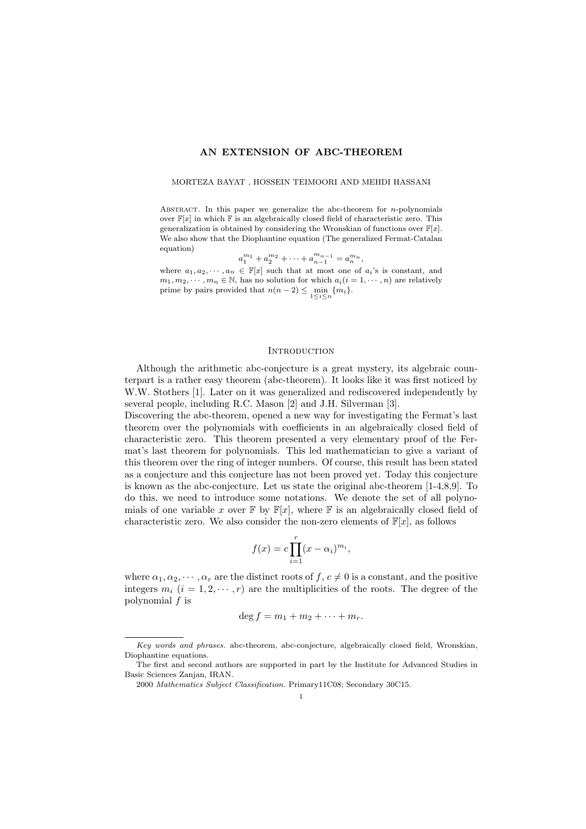# AN EXTENSION OF ABC-THEOREM

### MORTEZA BAYAT , HOSSEIN TEIMOORI AND MEHDI HASSANI

Abstract. In this paper we generalize the abc-theorem for *n*-polynomials over  $\mathbb{F}[x]$  in which  $\mathbb F$  is an algebraically closed field of characteristic zero. This generalization is obtained by considering the Wronskian of functions over  $\mathbb{F}[x]$ . We also show that the Diophantine equation (The generalized Fermat-Catalan equation)

$$
a_1^{m_1} + a_2^{m_2} + \dots + a_{n-1}^{m_{n-1}} = a_n^{m_n},
$$

where  $a_1, a_2, \dots, a_n \in \mathbb{F}[x]$  such that at most one of  $a_i$ 's is constant, and  $m_1, m_2, \cdots, m_n \in \mathbb{N}$ , has no solution for which  $a_i(i = 1, \cdots, n)$  are relatively prime by pairs provided that  $n(n-2) \le \min_{1 \le i \le n} \{m_i\}.$ 

### **INTRODUCTION**

Although the arithmetic abc-conjecture is a great mystery, its algebraic counterpart is a rather easy theorem (abc-theorem). It looks like it was first noticed by W.W. Stothers [1]. Later on it was generalized and rediscovered independently by several people, including R.C. Mason [2] and J.H. Silverman [3].

Discovering the abc-theorem, opened a new way for investigating the Fermat's last theorem over the polynomials with coefficients in an algebraically closed field of characteristic zero. This theorem presented a very elementary proof of the Fermat's last theorem for polynomials. This led mathematician to give a variant of this theorem over the ring of integer numbers. Of course, this result has been stated as a conjecture and this conjecture has not been proved yet. Today this conjecture is known as the abc-conjecture. Let us state the original abc-theorem [1-4,8,9]. To do this, we need to introduce some notations. We denote the set of all polynomials of one variable x over  $\mathbb{F}$  by  $\mathbb{F}[x]$ , where  $\mathbb F$  is an algebraically closed field of characteristic zero. We also consider the non-zero elements of  $\mathbb{F}[x]$ , as follows

$$
f(x) = c \prod_{i=1}^{r} (x - \alpha_i)^{m_i},
$$

where  $\alpha_1, \alpha_2, \cdots, \alpha_r$  are the distinct roots of  $f, c \neq 0$  is a constant, and the positive integers  $m_i$  ( $i = 1, 2, \dots, r$ ) are the multiplicities of the roots. The degree of the polynomial *f* is

$$
\deg f = m_1 + m_2 + \cdots + m_r.
$$

*Key words and phrases.* abc-theorem, abc-conjecture, algebraically closed field, Wronskian, Diophantine equations.

The first and second authors are supported in part by the Institute for Advanced Studies in Basic Sciences Zanjan, IRAN.

<sup>2000</sup> *Mathematics Subject Classification.* Primary11C08; Secondary 30C15.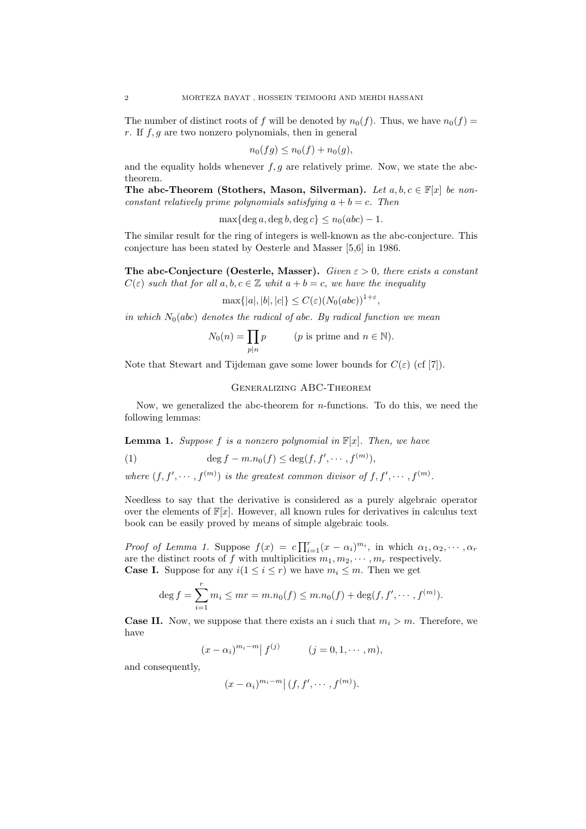The number of distinct roots of *f* will be denoted by  $n_0(f)$ . Thus, we have  $n_0(f)$ *r*. If *f,g* are two nonzero polynomials, then in general

$$
n_0(fg) \le n_0(f) + n_0(g),
$$

and the equality holds whenever  $f, g$  are relatively prime. Now, we state the abctheorem.

The abc-Theorem (Stothers, Mason, Silverman). Let  $a, b, c \in \mathbb{F}[x]$  be non*constant relatively prime polynomials satisfying*  $a + b = c$ *. Then* 

 $\max\{\deg a, \deg b, \deg c\} \leq n_0(abc) - 1.$ 

The similar result for the ring of integers is well-known as the abc-conjecture. This conjecture has been stated by Oesterle and Masser [5,6] in 1986.

The abc-Conjecture (Oesterle, Masser). *Given*  $\varepsilon > 0$ , there exists a constant  $C(\varepsilon)$  *such that for all*  $a, b, c \in \mathbb{Z}$  *whit*  $a + b = c$ *, we have the inequality* 

 $\max\{|a|, |b|, |c|\} \leq C(\varepsilon)(N_0(abc))^{1+\varepsilon}$ 

*in which*  $N_0(abc)$  *denotes the radical of abc. By radical function we mean* 

$$
N_0(n) = \prod_{p|n} p \qquad (p \text{ is prime and } n \in \mathbb{N}).
$$

Note that Stewart and Tijdeman gave some lower bounds for  $C(\varepsilon)$  (cf [7]).

# Generalizing ABC-Theorem

Now, we generalized the abc-theorem for *n*-functions. To do this, we need the following lemmas:

**Lemma 1.** *Suppose*  $f$  *is a nonzero polynomial in*  $\mathbb{F}[x]$ *. Then, we have* 

(1) 
$$
\deg f - m.n_0(f) \leq \deg(f, f', \cdots, f^{(m)}),
$$

*where*  $(f, f', \dots, f^{(m)})$  *is the greatest common divisor of*  $f, f', \dots, f^{(m)}$ *.* 

Needless to say that the derivative is considered as a purely algebraic operator over the elements of  $\mathbb{F}[x]$ . However, all known rules for derivatives in calculus text book can be easily proved by means of simple algebraic tools.

*Proof of Lemma 1.* Suppose  $f(x) = c \prod_{i=1}^{r} (x - \alpha_i)^{m_i}$ , in which  $\alpha_1, \alpha_2, \cdots, \alpha_r$ are the distinct roots of f with multiplicities  $m_1, m_2, \cdots, m_r$  respectively. **Case I.** Suppose for any  $i(1 \leq i \leq r)$  we have  $m_i \leq m$ . Then we get

$$
\deg f = \sum_{i=1}^r m_i \le mr = m.n_0(f) \le m.n_0(f) + \deg(f, f', \dots, f^{(m)}).
$$

**Case II.** Now, we suppose that there exists an *i* such that  $m_i > m$ . Therefore, we have

$$
(x - \alpha_i)^{m_i - m} | f^{(j)}
$$
  $(j = 0, 1, \dots, m),$ 

and consequently.

$$
(x-\alpha_i)^{m_i-m}\big|\,(f,f',\cdots,f^{(m)}).
$$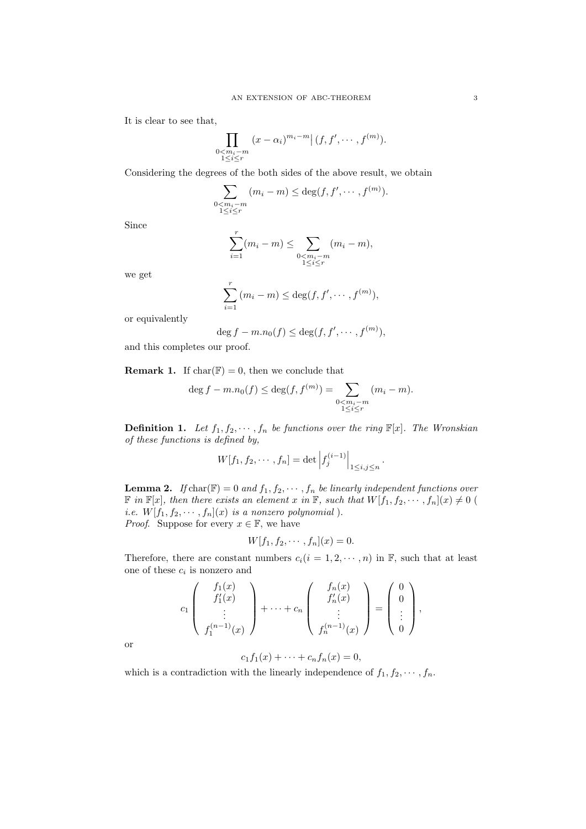It is clear to see that,

$$
\prod_{\substack{0 < m_i - m \\ 1 \leq i \leq r}} (x - \alpha_i)^{m_i - m} \big| (f, f', \cdots, f^{(m)}).
$$

Considering the degrees of the both sides of the above result, we obtain

$$
\sum_{\substack{0 < m_i - m \\ 1 \leq i \leq r}} (m_i - m) \leq \deg(f, f', \cdots, f^{(m)}).
$$

Since

$$
\sum_{i=1}^{r} (m_i - m) \le \sum_{\substack{0 < m_i - m \\ 1 \le i \le r}} (m_i - m),
$$

we get

$$
\sum_{i=1}^r (m_i - m) \le \deg(f, f', \cdots, f^{(m)}),
$$

or equivalently

$$
\deg f - m.n_0(f) \le \deg(f, f', \cdots, f^{(m)}),
$$

and this completes our proof.

**Remark 1.** If  $char(\mathbb{F}) = 0$ , then we conclude that

$$
\deg f - m.n_0(f) \le \deg(f, f^{(m)}) = \sum_{\substack{0 < m_i - m \\ 1 \le i \le r}} (m_i - m).
$$

**Definition 1.** Let  $f_1, f_2, \dots, f_n$  be functions over the ring  $\mathbb{F}[x]$ . The Wronskian *of these functions is defined by,*

$$
W[f_1, f_2, \cdots, f_n] = \det \left| f_j^{(i-1)} \right|_{1 \le i, j \le n}
$$

*.*

**Lemma 2.** *If* char( $\mathbb{F}$ ) = 0 *and*  $f_1, f_2, \cdots, f_n$  *be linearly independent functions over*  $\mathbb{F}$  in  $\mathbb{F}[x]$ , then there exists an element  $x$  in  $\mathbb{F}$ , such that  $W[f_1, f_2, \dots, f_n](x) \neq 0$ *i.e.*  $W[f_1, f_2, \cdots, f_n](x)$  *is a nonzero polynomial*). *Proof.* Suppose for every  $x \in \mathbb{F}$ , we have

$$
W[f_1, f_2, \cdots, f_n](x) = 0.
$$

Therefore, there are constant numbers  $c_i(i = 1, 2, \dots, n)$  in  $\mathbb{F}$ , such that at least one of these *c<sup>i</sup>* is nonzero and

$$
c_1\left(\begin{array}{c}f_1(x)\\f'_1(x)\\ \vdots\\f_1^{(n-1)}(x)\end{array}\right)+\cdots+c_n\left(\begin{array}{c}f_n(x)\\f'_n(x)\\ \vdots\\f_n^{(n-1)}(x)\end{array}\right)=\left(\begin{array}{c}0\\0\\ \vdots\\0\end{array}\right),
$$

or

$$
c_1f_1(x)+\cdots+c_nf_n(x)=0,
$$

which is a contradiction with the linearly independence of  $f_1, f_2, \cdots, f_n$ .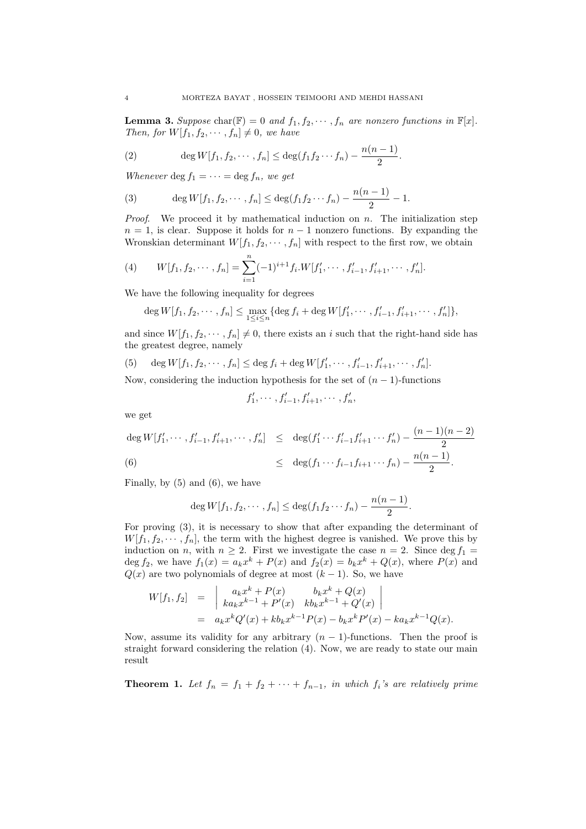**Lemma 3.** Suppose char( $\mathbb{F}$ ) = 0 *and*  $f_1, f_2, \cdots, f_n$  *are nonzero functions in*  $\mathbb{F}[x]$ *. Then, for*  $W[f_1, f_2, \cdots, f_n] \neq 0$ *, we have* 

(2) 
$$
\deg W[f_1, f_2, \cdots, f_n] \leq \deg(f_1 f_2 \cdots f_n) - \frac{n(n-1)}{2}.
$$

*Whenever* deg  $f_1 = \cdots = \deg f_n$ *, we get* 

(3) 
$$
\deg W[f_1, f_2, \cdots, f_n] \leq \deg(f_1 f_2 \cdots f_n) - \frac{n(n-1)}{2} - 1.
$$

*Proof*. We proceed it by mathematical induction on *n*. The initialization step  $n = 1$ , is clear. Suppose it holds for  $n - 1$  nonzero functions. By expanding the Wronskian determinant  $W[f_1, f_2, \cdots, f_n]$  with respect to the first row, we obtain

(4) 
$$
W[f_1, f_2, \cdots, f_n] = \sum_{i=1}^n (-1)^{i+1} f_i W[f'_1, \cdots, f'_{i-1}, f'_{i+1}, \cdots, f'_n].
$$

We have the following inequality for degrees

$$
\deg W[f_1, f_2, \cdots, f_n] \le \max_{1 \le i \le n} {\deg f_i + \deg W[f'_1, \cdots, f'_{i-1}, f'_{i+1}, \cdots, f'_n]},
$$

and since  $W[f_1, f_2, \cdots, f_n] \neq 0$ , there exists an *i* such that the right-hand side has the greatest degree, namely

(5) 
$$
\deg W[f_1, f_2, \cdots, f_n] \leq \deg f_i + \deg W[f'_1, \cdots, f'_{i-1}, f'_{i+1}, \cdots, f'_n].
$$

Now, considering the induction hypothesis for the set of  $(n-1)$ -functions

$$
f'_1, \cdots, f'_{i-1}, f'_{i+1}, \cdots, f'_n,
$$

we get

$$
\deg W[f'_1, \cdots, f'_{i-1}, f'_{i+1}, \cdots, f'_n] \leq \deg(f'_1 \cdots f'_{i-1} f'_{i+1} \cdots f'_n) - \frac{(n-1)(n-2)}{2}
$$
  
(6)  

$$
\leq \deg(f_1 \cdots f_{i-1} f_{i+1} \cdots f_n) - \frac{n(n-1)}{2}.
$$

Finally, by (5) and (6), we have

$$
\deg W[f_1, f_2, \cdots, f_n] \leq \deg(f_1 f_2 \cdots f_n) - \frac{n(n-1)}{2}.
$$

For proving (3), it is necessary to show that after expanding the determinant of  $W[f_1, f_2, \dots, f_n]$ , the term with the highest degree is vanished. We prove this by induction on *n*, with  $n \geq 2$ . First we investigate the case  $n = 2$ . Since deg  $f_1 =$ deg  $f_2$ , we have  $f_1(x) = a_k x^k + P(x)$  and  $f_2(x) = b_k x^k + Q(x)$ , where  $P(x)$  and  $Q(x)$  are two polynomials of degree at most  $(k-1)$ . So, we have

$$
W[f_1, f_2] = \begin{vmatrix} a_k x^k + P(x) & b_k x^k + Q(x) \\ ka_k x^{k-1} + P'(x) & kb_k x^{k-1} + Q'(x) \end{vmatrix}
$$
  
=  $a_k x^k Q'(x) + kb_k x^{k-1} P(x) - b_k x^k P'(x) - ka_k x^{k-1} Q(x).$ 

Now, assume its validity for any arbitrary  $(n - 1)$ -functions. Then the proof is straight forward considering the relation (4). Now, we are ready to state our main result

**Theorem 1.** Let  $f_n = f_1 + f_2 + \cdots + f_{n-1}$ , in which  $f_i$ 's are relatively prime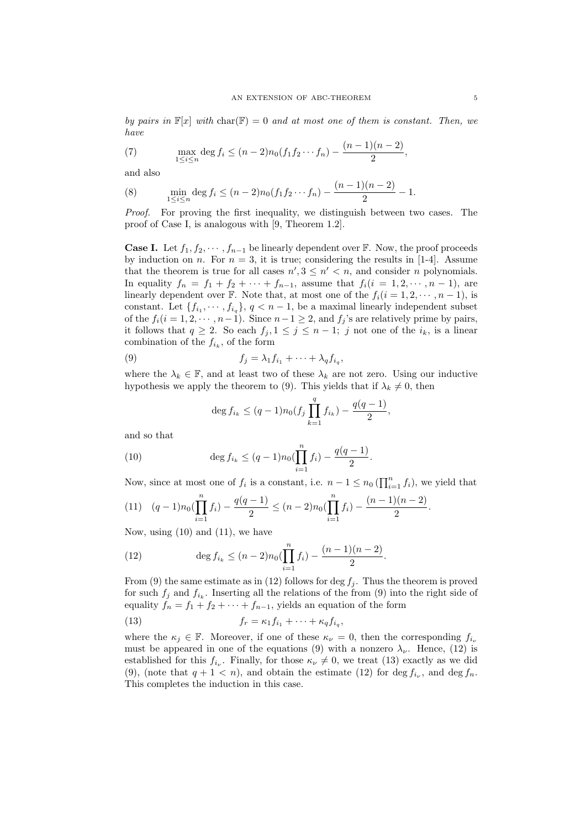*by pairs in*  $\mathbb{F}[x]$  *with* char( $\mathbb{F}$ ) = 0 *and at most one of them is constant. Then, we have*

(7) 
$$
\max_{1 \le i \le n} \deg f_i \le (n-2)n_0(f_1f_2\cdots f_n) - \frac{(n-1)(n-2)}{2},
$$

and also

(8) 
$$
\min_{1 \leq i \leq n} \deg f_i \leq (n-2)n_0(f_1f_2\cdots f_n) - \frac{(n-1)(n-2)}{2} - 1.
$$

*Proof.* For proving the first inequality, we distinguish between two cases. The proof of Case I, is analogous with [9, Theorem 1.2].

**Case I.** Let  $f_1, f_2, \cdots, f_{n-1}$  be linearly dependent over  $\mathbb{F}$ . Now, the proof proceeds by induction on *n*. For  $n = 3$ , it is true; considering the results in [1-4]. Assume that the theorem is true for all cases  $n', 3 \leq n' < n$ , and consider *n* polynomials. In equality  $f_n = f_1 + f_2 + \cdots + f_{n-1}$ , assume that  $f_i(i = 1, 2, \dots, n-1)$ , are linearly dependent over  $\mathbb{F}$ . Note that, at most one of the  $f_i(i = 1, 2, \dots, n-1)$ , is constant. Let  $\{f_{i_1}, \dots, f_{i_q}\}, q < n-1$ , be a maximal linearly independent subset of the  $f_i(i = 1, 2, \dots, n-1)$ . Since  $n-1 \geq 2$ , and  $f_j$ 's are relatively prime by pairs, it follows that  $q \geq 2$ . So each  $f_j, 1 \leq j \leq n-1$ ; *j* not one of the *i<sub>k</sub>*, is a linear combination of the  $f_{i_k}$ , of the form

(9) 
$$
f_j = \lambda_1 f_{i_1} + \cdots + \lambda_q f_{i_q},
$$

where the  $\lambda_k \in \mathbb{F}$ , and at least two of these  $\lambda_k$  are not zero. Using our inductive hypothesis we apply the theorem to (9). This yields that if  $\lambda_k \neq 0$ , then

$$
\deg f_{i_k} \le (q-1)n_0(f_j \prod_{k=1}^q f_{i_k}) - \frac{q(q-1)}{2},
$$

and so that

(10) 
$$
\deg f_{i_k} \leq (q-1)n_0(\prod_{i=1}^n f_i) - \frac{q(q-1)}{2}.
$$

Now, since at most one of  $f_i$  is a constant, i.e.  $n-1 \leq n_0 \left( \prod_{i=1}^n f_i \right)$ , we yield that

$$
(11) \quad (q-1)n_0\left(\prod_{i=1}^n f_i\right) - \frac{q(q-1)}{2} \le (n-2)n_0\left(\prod_{i=1}^n f_i\right) - \frac{(n-1)(n-2)}{2}.
$$

Now, using  $(10)$  and  $(11)$ , we have

(12) 
$$
\deg f_{i_k} \le (n-2)n_0(\prod_{i=1}^n f_i) - \frac{(n-1)(n-2)}{2}.
$$

From (9) the same estimate as in (12) follows for  $\deg f_j$ . Thus the theorem is proved for such  $f_j$  and  $f_{i_k}$ . Inserting all the relations of the from (9) into the right side of equality  $f_n = f_1 + f_2 + \cdots + f_{n-1}$ , yields an equation of the form

(13) 
$$
f_r = \kappa_1 f_{i_1} + \cdots + \kappa_q f_{i_q},
$$

where the  $\kappa_j \in \mathbb{F}$ . Moreover, if one of these  $\kappa_{\nu} = 0$ , then the corresponding  $f_{i_{\nu}}$ must be appeared in one of the equations (9) with a nonzero  $\lambda_{\nu}$ . Hence, (12) is established for this  $f_{i_{\nu}}$ . Finally, for those  $\kappa_{\nu} \neq 0$ , we treat (13) exactly as we did (9), (note that  $q + 1 < n$ ), and obtain the estimate (12) for deg  $f_{i_{\nu}}$ , and deg  $f_n$ . This completes the induction in this case.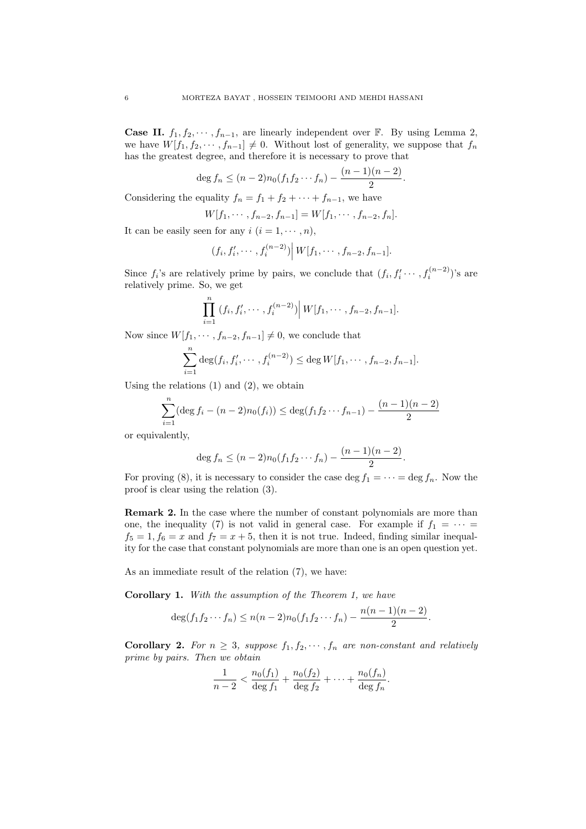**Case II.**  $f_1, f_2, \cdots, f_{n-1}$ , are linearly independent over  $\mathbb{F}$ . By using Lemma 2, we have  $W[f_1, f_2, \cdots, f_{n-1}] \neq 0$ . Without lost of generality, we suppose that  $f_n$ has the greatest degree, and therefore it is necessary to prove that

$$
\deg f_n \le (n-2)n_0(f_1f_2\cdots f_n) - \frac{(n-1)(n-2)}{2}.
$$

Considering the equality  $f_n = f_1 + f_2 + \cdots + f_{n-1}$ , we have

$$
W[f_1, \cdots, f_{n-2}, f_{n-1}] = W[f_1, \cdots, f_{n-2}, f_n].
$$

It can be easily seen for any  $i$   $(i = 1, \dots, n)$ ,

$$
(f_i, f'_i, \cdots, f_i^{(n-2)}) | W[f_1, \cdots, f_{n-2}, f_{n-1}].
$$

Since  $f_i$ 's are relatively prime by pairs, we conclude that  $(f_i, f'_i \cdots, f_i^{(n-2)})$ 's are relatively prime. So, we get

$$
\prod_{i=1}^n (f_i, f'_i, \cdots, f_i^{(n-2)}) \Big| W[f_1, \cdots, f_{n-2}, f_{n-1}].
$$

Now since  $W[f_1, \dots, f_{n-2}, f_{n-1}] \neq 0$ , we conclude that

$$
\sum_{i=1}^{n} \deg(f_i, f'_i, \cdots, f_i^{(n-2)}) \leq \deg W[f_1, \cdots, f_{n-2}, f_{n-1}].
$$

Using the relations  $(1)$  and  $(2)$ , we obtain

$$
\sum_{i=1}^{n} (\deg f_i - (n-2)n_0(f_i)) \le \deg(f_1 f_2 \cdots f_{n-1}) - \frac{(n-1)(n-2)}{2}
$$

or equivalently,

$$
\deg f_n \le (n-2)n_0(f_1f_2\cdots f_n) - \frac{(n-1)(n-2)}{2}.
$$

For proving (8), it is necessary to consider the case deg  $f_1 = \cdots = \deg f_n$ . Now the proof is clear using the relation (3).

Remark 2. In the case where the number of constant polynomials are more than one, the inequality (7) is not valid in general case. For example if  $f_1 = \cdots$  $f_5 = 1, f_6 = x$  and  $f_7 = x + 5$ , then it is not true. Indeed, finding similar inequality for the case that constant polynomials are more than one is an open question yet.

As an immediate result of the relation (7), we have:

Corollary 1. *With the assumption of the Theorem 1, we have*

$$
\deg(f_1f_2\cdots f_n) \le n(n-2)n_0(f_1f_2\cdots f_n) - \frac{n(n-1)(n-2)}{2}.
$$

**Corollary 2.** For  $n \geq 3$ , suppose  $f_1, f_2, \cdots, f_n$  are non-constant and relatively *prime by pairs. Then we obtain*

$$
\frac{1}{n-2} < \frac{n_0(f_1)}{\deg f_1} + \frac{n_0(f_2)}{\deg f_2} + \dots + \frac{n_0(f_n)}{\deg f_n}.
$$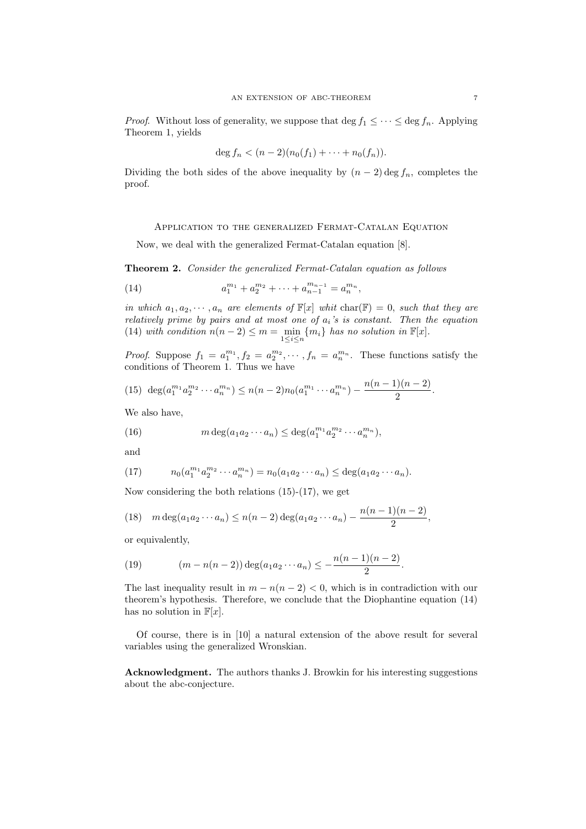*Proof.* Without loss of generality, we suppose that deg  $f_1 \leq \cdots \leq \deg f_n$ . Applying Theorem 1, yields

$$
\deg f_n < (n-2)(n_0(f_1) + \cdots + n_0(f_n)).
$$

Dividing the both sides of the above inequality by  $(n-2)$  deg  $f_n$ , completes the proof.

# Application to the generalized Fermat-Catalan Equation

Now, we deal with the generalized Fermat-Catalan equation [8].

Theorem 2. *Consider the generalized Fermat-Catalan equation as follows*

(14) 
$$
a_1^{m_1} + a_2^{m_2} + \cdots + a_{n-1}^{m_{n-1}} = a_n^{m_n},
$$

*in which*  $a_1, a_2, \dots, a_n$  *are elements of*  $\mathbb{F}[x]$  *whit* char( $\mathbb{F}) = 0$ , *such that they are relatively prime by pairs and at most one of ai's is constant. Then the equation* (14) *with condition*  $n(n-2) \leq m = \min_{1 \leq i \leq n} \{m_i\}$  *has no solution in*  $\mathbb{F}[x]$ *.* 

*Proof.* Suppose  $f_1 = a_1^{m_1}, f_2 = a_2^{m_2}, \cdots, f_n = a_n^{m_n}$ . These functions satisfy the conditions of Theorem 1. Thus we have

(15) 
$$
\deg(a_1^{m_1}a_2^{m_2}\cdots a_n^{m_n}) \le n(n-2)n_0(a_1^{m_1}\cdots a_n^{m_n}) - \frac{n(n-1)(n-2)}{2}
$$
.

We also have,

(16) 
$$
m \deg(a_1 a_2 \cdots a_n) \leq \deg(a_1^{m_1} a_2^{m_2} \cdots a_n^{m_n}),
$$

and

(17) 
$$
n_0(a_1^{m_1}a_2^{m_2}\cdots a_n^{m_n}) = n_0(a_1a_2\cdots a_n) \leq \deg(a_1a_2\cdots a_n).
$$

Now considering the both relations (15)-(17), we get

(18)  $m \deg(a_1 a_2 \cdots a_n) \le n(n-2) \deg(a_1 a_2 \cdots a_n) - \frac{n(n-1)(n-2)}{2},$ 

or equivalently,

(19) 
$$
(m - n(n - 2)) \deg(a_1 a_2 \cdots a_n) \leq -\frac{n(n-1)(n-2)}{2}.
$$

The last inequality result in  $m - n(n - 2) < 0$ , which is in contradiction with our theorem's hypothesis. Therefore, we conclude that the Diophantine equation (14) has no solution in  $\mathbb{F}[x]$ .

Of course, there is in [10] a natural extension of the above result for several variables using the generalized Wronskian.

Acknowledgment. The authors thanks J. Browkin for his interesting suggestions about the abc-conjecture.